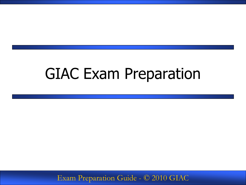### GIAC Exam Preparation

Exam Preparation Guide - © 2010 GIAC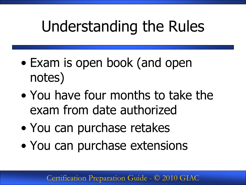# Understanding the Rules

- Exam is open book (and open notes)
- You have four months to take the exam from date authorized
- You can purchase retakes
- You can purchase extensions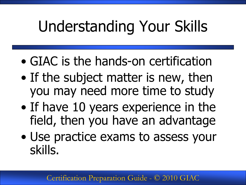# Understanding Your Skills

- GIAC is the hands-on certification
- If the subject matter is new, then you may need more time to study
- If have 10 years experience in the field, then you have an advantage
- Use practice exams to assess your skills.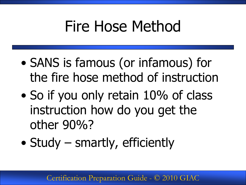## Fire Hose Method

- SANS is famous (or infamous) for the fire hose method of instruction
- So if you only retain 10% of class instruction how do you get the other 90%?
- Study smartly, efficiently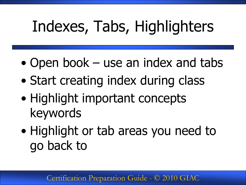# Indexes, Tabs, Highlighters

- Open book use an index and tabs
- Start creating index during class
- Highlight important concepts keywords
- Highlight or tab areas you need to go back to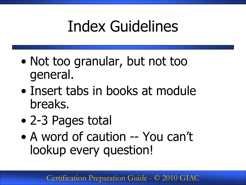# Index Guidelines

- Not too granular, but not too general.
- Insert tabs in books at module breaks.
- 2-3 Pages total
- A word of caution -- You can't lookup every question!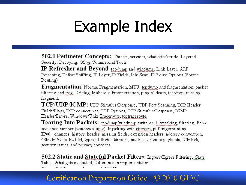## Example Index

502.1 Perimeter Concepts: Threats, services, what attacker do, Layered Security, Decoying, OS vs Commercial Tools

**IP Refresher and Beyond:** topdump and windump, Link Layer, ARP Poisoning, Defeat Sniffing, IP Layer, IP Fields, Idle Scan, IP Route Options (Source Routing)

**Fragmentation:** Normal Fragmentation, MTU, topdump and fragmentation, packet filtering and frag, DF flag, Malicious Fragmentation, ping o' death, teardrop, missing fragment,

TCP/UDP/ICMP: UDP Stimulus/Response, UDP Port Scanning, TCP Header Fields/Flags, TCP connections, TCP Options, TCP Stimulus/Response, ICMP Header/Errors, Windows/Unix Traceroute, tcptraceroute,

Tearing Into Packets: tcpdump/windump switches, bitmasking, filtering, Echo sequence number (windows/linux), hijacking with ettercap, p0f fingerprinting. IPv6: changes, history, header, missing fields, extension headers, address convention, 48bit MAC to EUI 64, types of IPv6 addresses, multicast, jumbo payloads, ICMPv6, security issues, and privacy concerns.

502.2 Static and Stateful Packet Filters: Ingress/Egress Filtering, State Table, What gets evaluated, Difference in implementations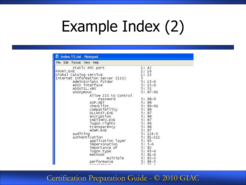# Example Index (2)

| ID Index-15.txt - Notepad                                                                                                                                                                                                         |                                                                                                                                                                                                                                           |  |  |  |  |  |
|-----------------------------------------------------------------------------------------------------------------------------------------------------------------------------------------------------------------------------------|-------------------------------------------------------------------------------------------------------------------------------------------------------------------------------------------------------------------------------------------|--|--|--|--|--|
| File Edit Format View Help                                                                                                                                                                                                        |                                                                                                                                                                                                                                           |  |  |  |  |  |
| static RPC port                                                                                                                                                                                                                   | 1: 42                                                                                                                                                                                                                                     |  |  |  |  |  |
| FPORT. EXE                                                                                                                                                                                                                        | 1:16                                                                                                                                                                                                                                      |  |  |  |  |  |
| Global Catalog service                                                                                                                                                                                                            | 1:15                                                                                                                                                                                                                                      |  |  |  |  |  |
| Internet Information Server (IIS)                                                                                                                                                                                                 | 5                                                                                                                                                                                                                                         |  |  |  |  |  |
| AdminScripts folder                                                                                                                                                                                                               | $5:15-6$                                                                                                                                                                                                                                  |  |  |  |  |  |
| ADSI interface                                                                                                                                                                                                                    | $5:15-6$                                                                                                                                                                                                                                  |  |  |  |  |  |
| ADSUTIL.VBS                                                                                                                                                                                                                       |                                                                                                                                                                                                                                           |  |  |  |  |  |
| anonymous                                                                                                                                                                                                                         |                                                                                                                                                                                                                                           |  |  |  |  |  |
| Allow IIS to Control                                                                                                                                                                                                              |                                                                                                                                                                                                                                           |  |  |  |  |  |
| Password                                                                                                                                                                                                                          | $5:88-9$                                                                                                                                                                                                                                  |  |  |  |  |  |
| ASP.NET                                                                                                                                                                                                                           | 88                                                                                                                                                                                                                                        |  |  |  |  |  |
|                                                                                                                                                                                                                                   |                                                                                                                                                                                                                                           |  |  |  |  |  |
|                                                                                                                                                                                                                                   |                                                                                                                                                                                                                                           |  |  |  |  |  |
| DLLHOST.EXE                                                                                                                                                                                                                       |                                                                                                                                                                                                                                           |  |  |  |  |  |
|                                                                                                                                                                                                                                   |                                                                                                                                                                                                                                           |  |  |  |  |  |
|                                                                                                                                                                                                                                   |                                                                                                                                                                                                                                           |  |  |  |  |  |
|                                                                                                                                                                                                                                   |                                                                                                                                                                                                                                           |  |  |  |  |  |
| transparency                                                                                                                                                                                                                      |                                                                                                                                                                                                                                           |  |  |  |  |  |
| W3WP.EXE                                                                                                                                                                                                                          |                                                                                                                                                                                                                                           |  |  |  |  |  |
|                                                                                                                                                                                                                                   |                                                                                                                                                                                                                                           |  |  |  |  |  |
|                                                                                                                                                                                                                                   |                                                                                                                                                                                                                                           |  |  |  |  |  |
|                                                                                                                                                                                                                                   |                                                                                                                                                                                                                                           |  |  |  |  |  |
|                                                                                                                                                                                                                                   |                                                                                                                                                                                                                                           |  |  |  |  |  |
|                                                                                                                                                                                                                                   |                                                                                                                                                                                                                                           |  |  |  |  |  |
|                                                                                                                                                                                                                                   |                                                                                                                                                                                                                                           |  |  |  |  |  |
|                                                                                                                                                                                                                                   |                                                                                                                                                                                                                                           |  |  |  |  |  |
|                                                                                                                                                                                                                                   |                                                                                                                                                                                                                                           |  |  |  |  |  |
|                                                                                                                                                                                                                                   |                                                                                                                                                                                                                                           |  |  |  |  |  |
| checklist<br>compatibility<br>encryption<br>INETINFO.EXE<br>logon rights<br>auditing<br>authentication<br>application layer<br>impersonation<br>importance of<br>logon type<br>methods<br>multiple<br>performance<br>$-1 - 1 - 1$ | 5: 53<br>$5:87-90$<br>5:<br>$5:89-90$<br>5:88<br>5:87<br>5:88<br>5:<br>87<br>5: 89<br>5:88<br>5:87<br>$5: 124-5$<br>$5:81 - 111$<br>5:83<br>$5:5-6$<br>5:82<br>$5:85-6$<br>$5:81-6$<br>$5:82-3$<br>$5:84-5$<br>$\cap$ $\supset$ $\supset$ |  |  |  |  |  |

#### Certification Preparation Guide - © 2010 GIAC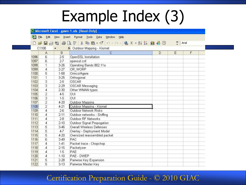# Example Index (3)

|      |                                                                             |          | Microsoft Excel - gawn-1.xls [Read-Only]   |   |   |   |  |  |
|------|-----------------------------------------------------------------------------|----------|--------------------------------------------|---|---|---|--|--|
| 图】   | Eile<br>Edit View                                                           |          | Insert Format Tools Data<br>Window<br>Help |   |   |   |  |  |
| D.   | <b>GEBQBAYXBB+</b> # 0+0+ <b>&amp; 2+41 &amp; D</b><br>$\frac{32}{7}$ Arial |          |                                            |   |   |   |  |  |
|      | C1108                                                                       |          | ∱ Outdoor Mapping - Kismet                 |   |   |   |  |  |
|      | A                                                                           | B        | C                                          | D | E | F |  |  |
| 1096 | 6                                                                           | $2 - 5$  | OpenSSL Installation                       |   |   |   |  |  |
| 1097 | 6                                                                           | $2 - 7$  | openssl.cnf                                |   |   |   |  |  |
| 1098 | $\mathbf{1}$                                                                | $3 - 26$ | Operating Bands 802.11a                    |   |   |   |  |  |
| 1099 | 4                                                                           | $2 - 27$ | OR WORP                                    |   |   |   |  |  |
| 1100 | 5                                                                           | 1-58     | Orinco/Agere                               |   |   |   |  |  |
| 1101 | $\mathbf{1}$                                                                | $3 - 25$ | Orthogonal                                 |   |   |   |  |  |
| 1102 | 3                                                                           | $2-5$    | OSCAR                                      |   |   |   |  |  |
| 1103 | 3                                                                           | $2 - 29$ | <b>OSCAR Messaging</b>                     |   |   |   |  |  |
| 1104 | $\overline{4}$                                                              | $2 - 30$ | Other WMAN types                           |   |   |   |  |  |
| 1105 | 2                                                                           | $4-5$    | OUI                                        |   |   |   |  |  |
| 1106 | 3                                                                           | $1-5$    | OUI                                        |   |   |   |  |  |
| 1107 | $\overline{2}$                                                              | $4 - 20$ | <b>Outdoor Mapping</b>                     |   |   |   |  |  |
| 1108 | $\overline{2}$                                                              | $4 - 21$ | Outdoor Mapping - Kismet                   |   |   |   |  |  |
| 1109 | $\overline{4}$                                                              | $2-6$    | Outdoor Network Risks                      |   |   |   |  |  |
| 1110 | 4                                                                           | $2 - 11$ | Outdoor networks - Sniffing                |   |   |   |  |  |
| 1111 | 4                                                                           | $2 - 8$  | Outdoor RF Networks                        |   |   |   |  |  |
| 1112 | 4                                                                           | $2 - 10$ | Outdoor Signal Propogation                 |   |   |   |  |  |
| 1113 | 5                                                                           | $3 - 46$ | Overall Wireless Defenses                  |   |   |   |  |  |
| 1114 | 5                                                                           | $4 - 7$  | Overlay - Deployment Model                 |   |   |   |  |  |
| 1115 | 5                                                                           | $4 - 20$ | Oversized reassembled packet               |   |   |   |  |  |
| 1116 | 6                                                                           | $3-49$   | PAC                                        |   |   |   |  |  |
| 1117 | 4                                                                           | $1 - 41$ | Packet trace - Chopchop                    |   |   |   |  |  |
| 1118 | 4                                                                           | $2 - 15$ | Packetyzer                                 |   |   |   |  |  |
| 1119 | $\overline{4}$                                                              | $1-5$    | PAE                                        |   |   |   |  |  |
| 1120 | $\overline{4}$                                                              | $1 - 10$ | PAE - DWEP                                 |   |   |   |  |  |
| 1121 | 5                                                                           | $2 - 28$ | Pairwise Key Expansion                     |   |   |   |  |  |
| 1122 | 5                                                                           | $3-13$   | Pairwise Master Key                        |   |   |   |  |  |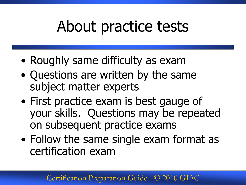## About practice tests

- Roughly same difficulty as exam
- Questions are written by the same subject matter experts
- First practice exam is best gauge of your skills. Questions may be repeated on subsequent practice exams
- Follow the same single exam format as certification exam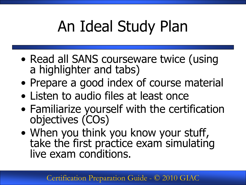# An Ideal Study Plan

- Read all SANS courseware twice (using a highlighter and tabs)
- Prepare a good index of course material
- Listen to audio files at least once
- Familiarize yourself with the certification objectives (COs)
- When you think you know your stuff, take the first practice exam simulating live exam conditions.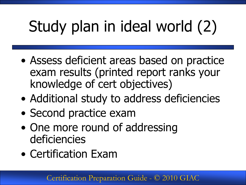# Study plan in ideal world (2)

- Assess deficient areas based on practice exam results (printed report ranks your knowledge of cert objectives)
- Additional study to address deficiencies
- Second practice exam
- One more round of addressing deficiencies
- Certification Exam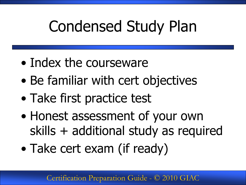# Condensed Study Plan

- Index the courseware
- Be familiar with cert objectives
- Take first practice test
- Honest assessment of your own skills + additional study as required
- Take cert exam (if ready)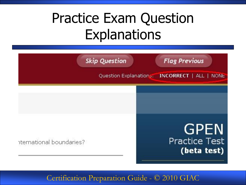## Practice Exam Question **Explanations**

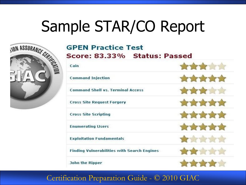# Sample STAR/CO Report<br>
SCOPEN Practice Test<br>
Score: 83.33% Status: Passed



#### **GPEN Practice Test** Score: 83.33% Status: Passed

| Cain                                               |                |
|----------------------------------------------------|----------------|
| <b>Command Injection</b>                           | ATA ATA        |
| <b>Command Shell vs. Terminal Access</b>           | <b>ATA ATA</b> |
| <b>Cross Site Request Forgery</b>                  | TYPT ?         |
| <b>Cross Site Scripting</b>                        | THE THE        |
| <b>Enumerating Users</b>                           | KY T           |
| <b>Exploitation Fundamentals</b>                   | 合金食            |
| <b>Finding Vulnerabilities with Search Engines</b> |                |
| <b>John the Ripper</b>                             |                |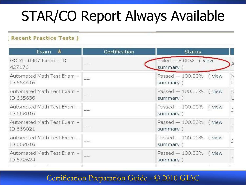## STAR/CO Report Always Available

#### **Recent Practice Tests)**

| Exam<br>A                                 | <b>Certification</b>                                                                                                                                                                                                                                                                                                                                                                                                                                                       | <b>Status</b>                                               |
|-------------------------------------------|----------------------------------------------------------------------------------------------------------------------------------------------------------------------------------------------------------------------------------------------------------------------------------------------------------------------------------------------------------------------------------------------------------------------------------------------------------------------------|-------------------------------------------------------------|
| GCIM - 0407 Exam - ID<br>427176           |                                                                                                                                                                                                                                                                                                                                                                                                                                                                            | Failed - 8.00% (view<br>summary)                            |
| Automated Math Test Exam -<br>ID 654416   |                                                                                                                                                                                                                                                                                                                                                                                                                                                                            | Passed - 100,00% (view<br>$\triangleright$<br>summary)<br>L |
| Automated Math Test Exam -<br>ID 665636   |                                                                                                                                                                                                                                                                                                                                                                                                                                                                            | Passed - 100,00% (view<br>E<br>summary)<br>U                |
| Automated Math Test Exam -  <br>ID 668016 |                                                                                                                                                                                                                                                                                                                                                                                                                                                                            | Passed - 100.00% (view<br>j<br>summary)                     |
| Automated Math Test Exam -<br>ID 668021   |                                                                                                                                                                                                                                                                                                                                                                                                                                                                            | Passed - 100.00% (view<br>$\overline{1}$<br>summary)        |
| Automated Math Test Exam -<br>ID 668616   | $\frac{1}{2} \left( \frac{1}{2} \right) \left( \frac{1}{2} \right) \left( \frac{1}{2} \right) \left( \frac{1}{2} \right) \left( \frac{1}{2} \right) \left( \frac{1}{2} \right) \left( \frac{1}{2} \right) \left( \frac{1}{2} \right) \left( \frac{1}{2} \right) \left( \frac{1}{2} \right) \left( \frac{1}{2} \right) \left( \frac{1}{2} \right) \left( \frac{1}{2} \right) \left( \frac{1}{2} \right) \left( \frac{1}{2} \right) \left( \frac{1}{2} \right) \left( \frac$ | Passed - 100,00% (view<br>J<br>summary)                     |
| Automated Math Test Exam -<br>ID 672624   |                                                                                                                                                                                                                                                                                                                                                                                                                                                                            | Passed - 100.00% (view<br>J<br>summary)                     |
|                                           |                                                                                                                                                                                                                                                                                                                                                                                                                                                                            |                                                             |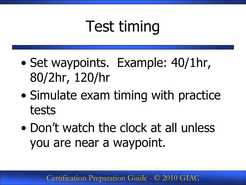# Test timing

- Set waypoints. Example: 40/1hr, 80/2hr, 120/hr
- Simulate exam timing with practice tests
- Don't watch the clock at all unless you are near a waypoint.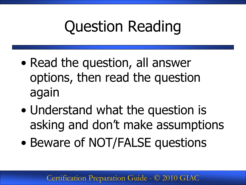## Question Reading

- Read the question, all answer options, then read the question again
- Understand what the question is asking and don't make assumptions
- Beware of NOT/FALSE questions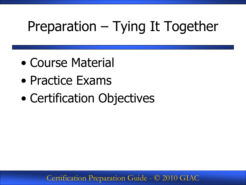## Preparation – Tying It Together

- Course Material
- Practice Exams
- Certification Objectives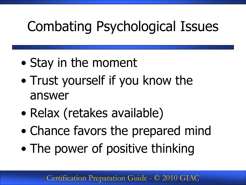## Combating Psychological Issues

- Stay in the moment
- Trust yourself if you know the answer
- Relax (retakes available)
- Chance favors the prepared mind
- The power of positive thinking